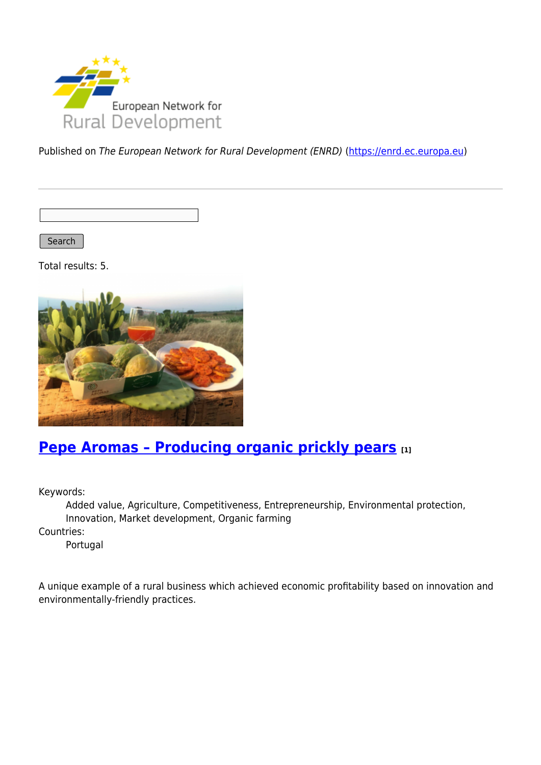

Published on The European Network for Rural Development (ENRD) [\(https://enrd.ec.europa.eu](https://enrd.ec.europa.eu))

Search

Total results: 5.



# **[Pepe Aromas – Producing organic prickly pears](https://enrd.ec.europa.eu/projects-practice/pepe-aromas-producing-organic-prickly-pears_en) [1]**

Keywords:

Added value, Agriculture, Competitiveness, Entrepreneurship, Environmental protection, Innovation, Market development, Organic farming Countries:

Portugal

A unique example of a rural business which achieved economic profitability based on innovation and environmentally-friendly practices.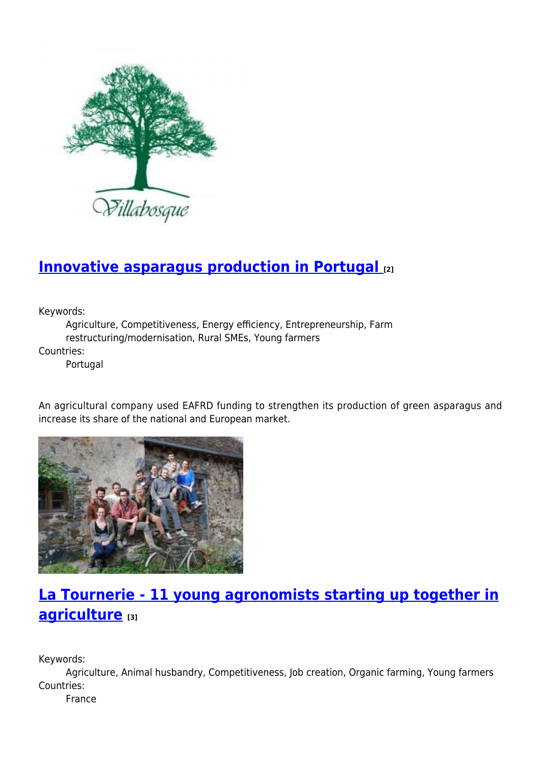

# **[Innovative asparagus production in Portugal](https://enrd.ec.europa.eu/projects-practice/innovative-asparagus-production-portugal_en) [2]**

Keywords:

Agriculture, Competitiveness, Energy efficiency, Entrepreneurship, Farm restructuring/modernisation, Rural SMEs, Young farmers

Countries:

Portugal

An agricultural company used EAFRD funding to strengthen its production of green asparagus and increase its share of the national and European market.



# **[La Tournerie - 11 young agronomists starting up together in](https://enrd.ec.europa.eu/projects-practice/la-tournerie-11-young-agronomists-starting-together-agriculture_en) [agriculture](https://enrd.ec.europa.eu/projects-practice/la-tournerie-11-young-agronomists-starting-together-agriculture_en) [3]**

Keywords:

Agriculture, Animal husbandry, Competitiveness, Job creation, Organic farming, Young farmers Countries:

France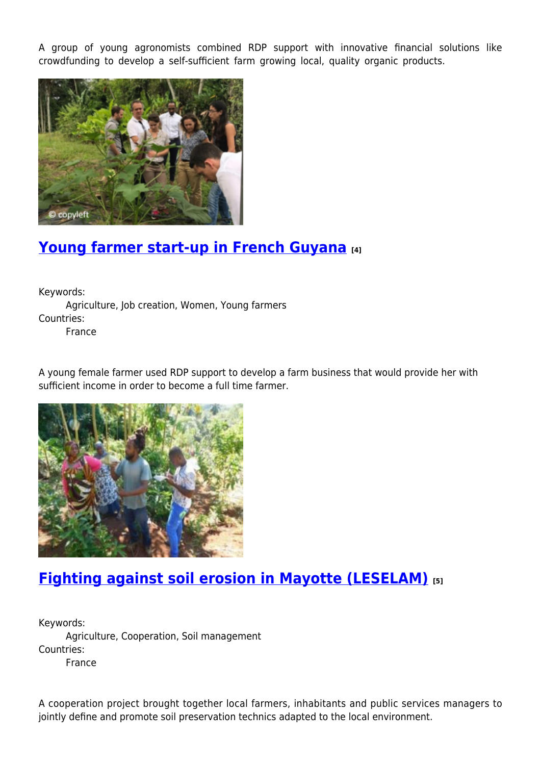A group of young agronomists combined RDP support with innovative financial solutions like crowdfunding to develop a self-sufficient farm growing local, quality organic products.



### **[Young farmer start-up in French Guyana](https://enrd.ec.europa.eu/projects-practice/young-farmer-start-french-guyana_en) [4]**

Keywords: Agriculture, Job creation, Women, Young farmers Countries:

France

A young female farmer used RDP support to develop a farm business that would provide her with sufficient income in order to become a full time farmer.



# **[Fighting against soil erosion in Mayotte \(LESELAM\)](https://enrd.ec.europa.eu/projects-practice/fighting-against-soil-erosion-mayotte-leselam_en) [5]**

Keywords: Agriculture, Cooperation, Soil management Countries: France

A cooperation project brought together local farmers, inhabitants and public services managers to jointly define and promote soil preservation technics adapted to the local environment.